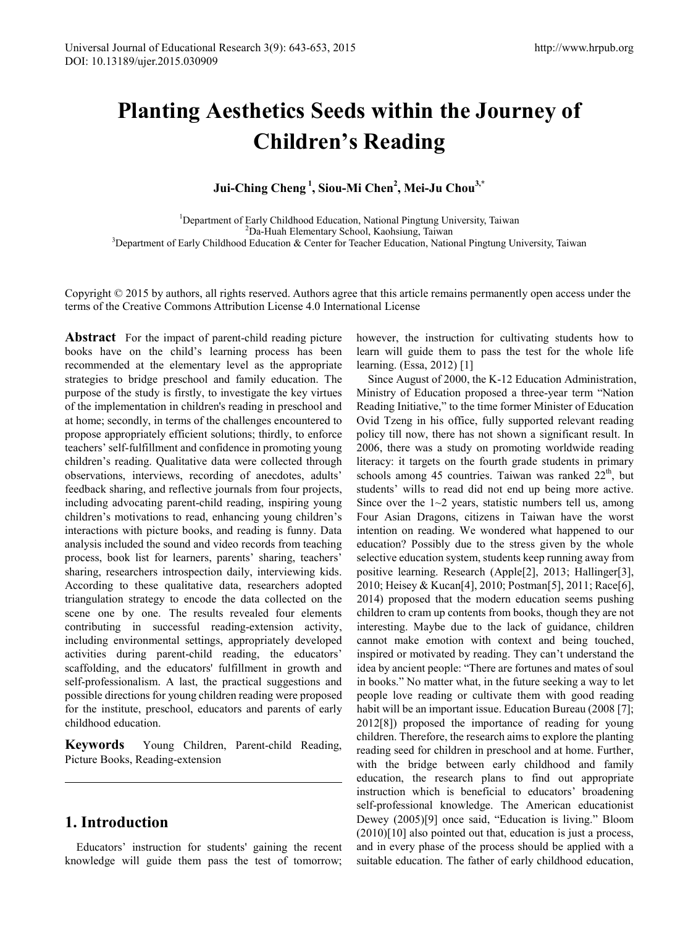# **Planting Aesthetics Seeds within the Journey of Children's Reading**

**Jui-Ching Cheng <sup>1</sup> , Siou-Mi Chen2 , Mei-Ju Chou3,\***

<sup>1</sup>Department of Early Childhood Education, National Pingtung University, Taiwan <sup>2</sup>De Hugh Elementary School, Kaobsiung Taiwan Da-Huah Elementary School, Kaohsiung, Taiwan <sup>3</sup>Department of Early Childhood Education & Center for Teacher Education, National Pingtung University, Taiwan<br><sup>3</sup>Department of Early Childhood Education & Center for Teacher E

Copyright  $\odot$  2015 by authors, all rights reserved. Authors agree that this article remains permanently open access under the terms of the Creative Commons Attribution License 4.0 International License

**Abstract** For the impact of parent-child reading picture books have on the child's learning process has been recommended at the elementary level as the appropriate strategies to bridge preschool and family education. The purpose of the study is firstly, to investigate the key virtues of the implementation in children's reading in preschool and at home; secondly, in terms of the challenges encountered to propose appropriately efficient solutions; thirdly, to enforce teachers' self-fulfillment and confidence in promoting young children's reading. Qualitative data were collected through observations, interviews, recording of anecdotes, adults' feedback sharing, and reflective journals from four projects, including advocating parent-child reading, inspiring young children's motivations to read, enhancing young children's interactions with picture books, and reading is funny. Data analysis included the sound and video records from teaching process, book list for learners, parents' sharing, teachers' sharing, researchers introspection daily, interviewing kids. According to these qualitative data, researchers adopted triangulation strategy to encode the data collected on the scene one by one. The results revealed four elements contributing in successful reading-extension activity, including environmental settings, appropriately developed activities during parent-child reading, the educators' scaffolding, and the educators' fulfillment in growth and self-professionalism. A last, the practical suggestions and possible directions for young children reading were proposed for the institute, preschool, educators and parents of early childhood education.

**Keywords** Young Children, Parent-child Reading, Picture Books, Reading-extension

# **1. Introduction**

Educators' instruction for students' gaining the recent knowledge will guide them pass the test of tomorrow; however, the instruction for cultivating students how to learn will guide them to pass the test for the whole life learning. (Essa, 2012) [1]

Since August of 2000, the K-12 Education Administration, Ministry of Education proposed a three-year term "Nation Reading Initiative," to the time former Minister of Education Ovid Tzeng in his office, fully supported relevant reading policy till now, there has not shown a significant result. In 2006, there was a study on promoting worldwide reading literacy: it targets on the fourth grade students in primary schools among 45 countries. Taiwan was ranked  $22<sup>th</sup>$ , but students' wills to read did not end up being more active. Since over the  $1~2$  years, statistic numbers tell us, among Four Asian Dragons, citizens in Taiwan have the worst intention on reading. We wondered what happened to our education? Possibly due to the stress given by the whole selective education system, students keep running away from positive learning. Research (Apple[2], 2013; Hallinger[3], 2010; Heisey & Kucan[4], 2010; Postman[5], 2011; Race[6], 2014) proposed that the modern education seems pushing children to cram up contents from books, though they are not interesting. Maybe due to the lack of guidance, children cannot make emotion with context and being touched, inspired or motivated by reading. They can't understand the idea by ancient people: "There are fortunes and mates of soul in books." No matter what, in the future seeking a way to let people love reading or cultivate them with good reading habit will be an important issue. Education Bureau (2008 [7]; 2012[8]) proposed the importance of reading for young children. Therefore, the research aims to explore the planting reading seed for children in preschool and at home. Further, with the bridge between early childhood and family education, the research plans to find out appropriate instruction which is beneficial to educators' broadening self-professional knowledge. The American educationist Dewey (2005)[9] once said, "Education is living." Bloom  $(2010)[10]$  also pointed out that, education is just a process, and in every phase of the process should be applied with a suitable education. The father of early childhood education,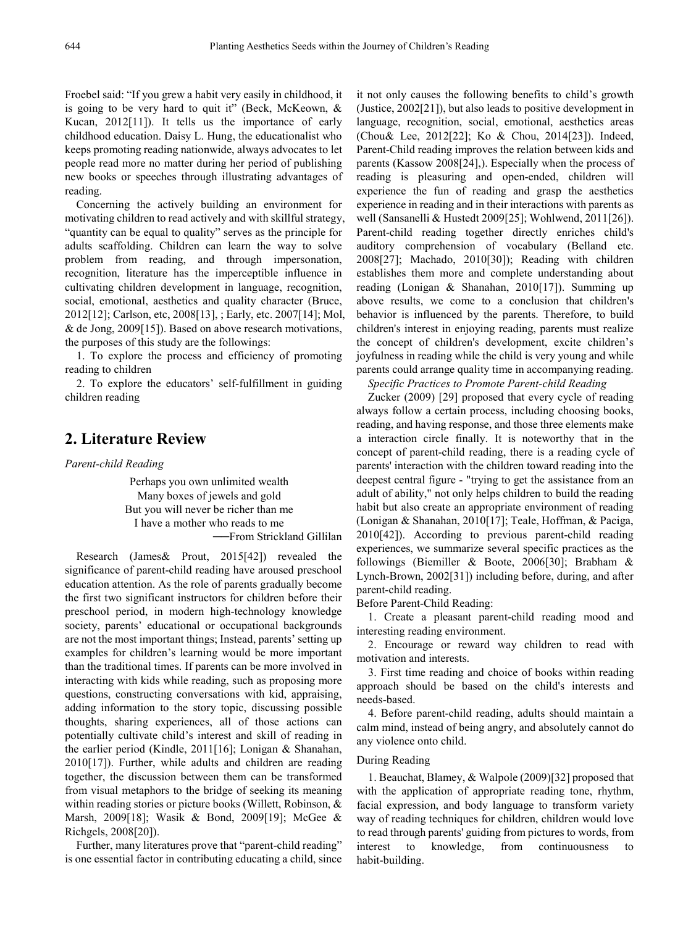Froebel said: "If you grew a habit very easily in childhood, it is going to be very hard to quit it" (Beck, McKeown,  $\&$ Kucan, 2012[11]). It tells us the importance of early childhood education. Daisy L. Hung, the educationalist who keeps promoting reading nationwide, always advocates to let people read more no matter during her period of publishing new books or speeches through illustrating advantages of reading.

Concerning the actively building an environment for motivating children to read actively and with skillful strategy, "quantity can be equal to quality" serves as the principle for adults scaffolding. Children can learn the way to solve problem from reading, and through impersonation, recognition, literature has the imperceptible influence in cultivating children development in language, recognition, social, emotional, aesthetics and quality character (Bruce, 2012[12]; Carlson, etc, 2008[13], ; Early, etc. 2007[14]; Mol, & de Jong, 2009[15]). Based on above research motivations, the purposes of this study are the followings:

1. To explore the process and efficiency of promoting reading to children

2. To explore the educators' self-fulfillment in guiding children reading

# **2. Literature Review**

*Parent-child Reading*

Perhaps you own unlimited wealth Many boxes of jewels and gold But you will never be richer than me I have a mother who reads to me ──From Strickland Gillilan

Research (James& Prout, 2015[42]) revealed the significance of parent-child reading have aroused preschool education attention. As the role of parents gradually become the first two significant instructors for children before their preschool period, in modern high-technology knowledge society, parents' educational or occupational backgrounds are not the most important things; Instead, parents' setting up examples for children's learning would be more important than the traditional times. If parents can be more involved in interacting with kids while reading, such as proposing more questions, constructing conversations with kid, appraising, adding information to the story topic, discussing possible thoughts, sharing experiences, all of those actions can potentially cultivate child's interest and skill of reading in the earlier period (Kindle, 2011[16]; Lonigan & Shanahan, 2010[17]). Further, while adults and children are reading together, the discussion between them can be transformed from visual metaphors to the bridge of seeking its meaning within reading stories or picture books (Willett, Robinson, & Marsh, 2009[18]; Wasik & Bond, 2009[19]; McGee & Richgels, 2008[20]).

Further, many literatures prove that "parent-child reading" is one essential factor in contributing educating a child, since

it not only causes the following benefits to child's growth (Justice, 2002[21]), but also leads to positive development in language, recognition, social, emotional, aesthetics areas (Chou& Lee, 2012[22]; Ko & Chou, 2014[23]). Indeed, Parent-Child reading improves the relation between kids and parents (Kassow 2008[24],). Especially when the process of reading is pleasuring and open-ended, children will experience the fun of reading and grasp the aesthetics experience in reading and in their interactions with parents as well (Sansanelli & Hustedt 2009[25]; Wohlwend, 2011[26]). Parent-child reading together directly enriches child's auditory comprehension of vocabulary (Belland etc. 2008[27]; Machado, 2010[30]); Reading with children establishes them more and complete understanding about reading (Lonigan & Shanahan, 2010[17]). Summing up above results, we come to a conclusion that children's behavior is influenced by the parents. Therefore, to build children's interest in enjoying reading, parents must realize the concept of children's development, excite children's joyfulness in reading while the child is very young and while parents could arrange quality time in accompanying reading.

*Specific Practices to Promote Parent-child Reading*

Zucker (2009) [29] proposed that every cycle of reading always follow a certain process, including choosing books, reading, and having response, and those three elements make a interaction circle finally. It is noteworthy that in the concept of parent-child reading, there is a reading cycle of parents' interaction with the children toward reading into the deepest central figure - "trying to get the assistance from an adult of ability," not only helps children to build the reading habit but also create an appropriate environment of reading (Lonigan & Shanahan, 2010[17]; Teale, Hoffman, & Paciga, 2010[42]). According to previous parent-child reading experiences, we summarize several specific practices as the followings (Biemiller & Boote, 2006[30]; Brabham & Lynch-Brown, 2002[31]) including before, during, and after parent-child reading.

Before Parent-Child Reading:

1. Create a pleasant parent-child reading mood and interesting reading environment.

2. Encourage or reward way children to read with motivation and interests.

3. First time reading and choice of books within reading approach should be based on the child's interests and needs-based.

4. Before parent-child reading, adults should maintain a calm mind, instead of being angry, and absolutely cannot do any violence onto child.

### During Reading

1. Beauchat, Blamey, & Walpole (2009)[32] proposed that with the application of appropriate reading tone, rhythm, facial expression, and body language to transform variety way of reading techniques for children, children would love to read through parents' guiding from pictures to words, from interest to knowledge, from continuousness to habit-building.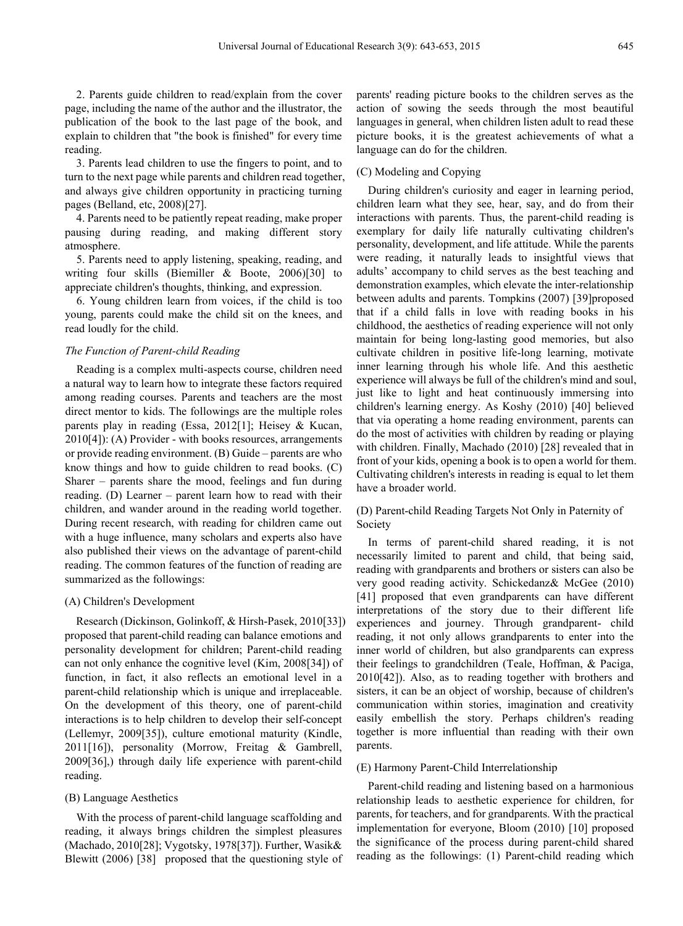2. Parents guide children to read/explain from the cover page, including the name of the author and the illustrator, the publication of the book to the last page of the book, and explain to children that "the book is finished" for every time reading.

3. Parents lead children to use the fingers to point, and to turn to the next page while parents and children read together, and always give children opportunity in practicing turning pages (Belland, etc, 2008)[27].

4. Parents need to be patiently repeat reading, make proper pausing during reading, and making different story atmosphere.

5. Parents need to apply listening, speaking, reading, and writing four skills (Biemiller & Boote, 2006)[30] to appreciate children's thoughts, thinking, and expression.

6. Young children learn from voices, if the child is too young, parents could make the child sit on the knees, and read loudly for the child.

#### *The Function of Parent-child Reading*

Reading is a complex multi-aspects course, children need a natural way to learn how to integrate these factors required among reading courses. Parents and teachers are the most direct mentor to kids. The followings are the multiple roles parents play in reading (Essa, 2012[1]; Heisey & Kucan, 2010[4]): (A) Provider - with books resources, arrangements or provide reading environment. (B) Guide – parents are who know things and how to guide children to read books. (C) Sharer – parents share the mood, feelings and fun during reading. (D) Learner – parent learn how to read with their children, and wander around in the reading world together. During recent research, with reading for children came out with a huge influence, many scholars and experts also have also published their views on the advantage of parent-child reading. The common features of the function of reading are summarized as the followings:

## (A) Children's Development

Research (Dickinson, Golinkoff, & Hirsh-Pasek, 2010[33]) proposed that parent-child reading can balance emotions and personality development for children; Parent-child reading can not only enhance the cognitive level (Kim, 2008[34]) of function, in fact, it also reflects an emotional level in a parent-child relationship which is unique and irreplaceable. On the development of this theory, one of parent-child interactions is to help children to develop their self-concept (Lellemyr, 2009[35]), culture emotional maturity (Kindle, 2011[16]), personality (Morrow, Freitag & Gambrell, 2009[36],) through daily life experience with parent-child reading.

## (B) Language Aesthetics

With the process of parent-child language scaffolding and reading, it always brings children the simplest pleasures (Machado, 2010[28]; Vygotsky, 1978[37]). Further, Wasik& Blewitt (2006) [38] proposed that the questioning style of

parents' reading picture books to the children serves as the action of sowing the seeds through the most beautiful languages in general, when children listen adult to read these picture books, it is the greatest achievements of what a language can do for the children.

## (C) Modeling and Copying

During children's curiosity and eager in learning period, children learn what they see, hear, say, and do from their interactions with parents. Thus, the parent-child reading is exemplary for daily life naturally cultivating children's personality, development, and life attitude. While the parents were reading, it naturally leads to insightful views that adults' accompany to child serves as the best teaching and demonstration examples, which elevate the inter-relationship between adults and parents. Tompkins (2007) [39]proposed that if a child falls in love with reading books in his childhood, the aesthetics of reading experience will not only maintain for being long-lasting good memories, but also cultivate children in positive life-long learning, motivate inner learning through his whole life. And this aesthetic experience will always be full of the children's mind and soul, just like to light and heat continuously immersing into children's learning energy. As Koshy (2010) [40] believed that via operating a home reading environment, parents can do the most of activities with children by reading or playing with children. Finally, Machado (2010) [28] revealed that in front of your kids, opening a book is to open a world for them. Cultivating children's interests in reading is equal to let them have a broader world.

## (D) Parent-child Reading Targets Not Only in Paternity of Society

In terms of parent-child shared reading, it is not necessarily limited to parent and child, that being said, reading with grandparents and brothers or sisters can also be very good reading activity. Schickedanz& McGee (2010) [41] proposed that even grandparents can have different interpretations of the story due to their different life experiences and journey. Through grandparent- child reading, it not only allows grandparents to enter into the inner world of children, but also grandparents can express their feelings to grandchildren (Teale, Hoffman, & Paciga, 2010[42]). Also, as to reading together with brothers and sisters, it can be an object of worship, because of children's communication within stories, imagination and creativity easily embellish the story. Perhaps children's reading together is more influential than reading with their own parents.

#### (E) Harmony Parent-Child Interrelationship

Parent-child reading and listening based on a harmonious relationship leads to aesthetic experience for children, for parents, for teachers, and for grandparents. With the practical implementation for everyone, Bloom (2010) [10] proposed the significance of the process during parent-child shared reading as the followings: (1) Parent-child reading which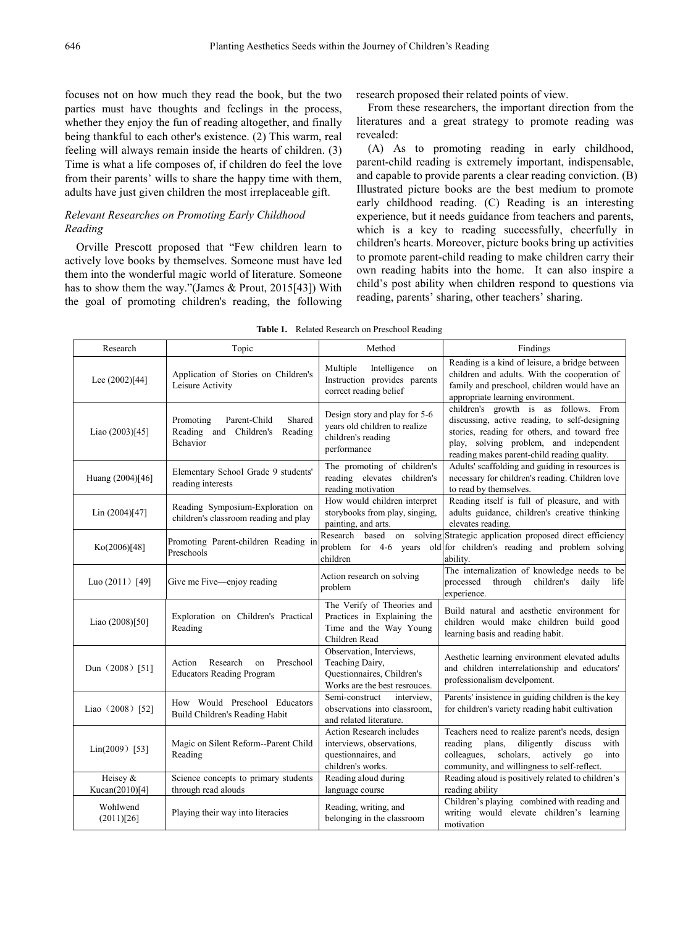focuses not on how much they read the book, but the two parties must have thoughts and feelings in the process, whether they enjoy the fun of reading altogether, and finally being thankful to each other's existence. (2) This warm, real feeling will always remain inside the hearts of children. (3) Time is what a life composes of, if children do feel the love from their parents' wills to share the happy time with them, adults have just given children the most irreplaceable gift.

## *Relevant Researches on Promoting Early Childhood Reading*

Orville Prescott proposed that "Few children learn to actively love books by themselves. Someone must have led them into the wonderful magic world of literature. Someone has to show them the way."(James & Prout, 2015[43]) With the goal of promoting children's reading, the following research proposed their related points of view.

From these researchers, the important direction from the literatures and a great strategy to promote reading was revealed:

(A) As to promoting reading in early childhood, parent-child reading is extremely important, indispensable, and capable to provide parents a clear reading conviction. (B) Illustrated picture books are the best medium to promote early childhood reading. (C) Reading is an interesting experience, but it needs guidance from teachers and parents, which is a key to reading successfully, cheerfully in children's hearts. Moreover, picture books bring up activities to promote parent-child reading to make children carry their own reading habits into the home. It can also inspire a child's post ability when children respond to questions via reading, parents' sharing, other teachers' sharing.

|  | <b>Table 1.</b> Related Research on Preschool Reading |  |
|--|-------------------------------------------------------|--|
|  |                                                       |  |

| Research                   | Topic                                                                                | Method                                                                                                     | Findings                                                                                                                                                                                                                        |
|----------------------------|--------------------------------------------------------------------------------------|------------------------------------------------------------------------------------------------------------|---------------------------------------------------------------------------------------------------------------------------------------------------------------------------------------------------------------------------------|
| Lee (2002)[44]             | Application of Stories on Children's<br>Leisure Activity                             | Multiple<br>Intelligence<br>on<br>Instruction provides parents<br>correct reading belief                   | Reading is a kind of leisure, a bridge between<br>children and adults. With the cooperation of<br>family and preschool, children would have an<br>appropriate learning environment.                                             |
| Liao (2003)[45]            | Parent-Child<br>Shared<br>Promoting<br>Reading and Children's<br>Reading<br>Behavior | Design story and play for 5-6<br>years old children to realize<br>children's reading<br>performance        | children's growth is as follows. From<br>discussing, active reading, to self-designing<br>stories, reading for others, and toward free<br>play, solving problem, and independent<br>reading makes parent-child reading quality. |
| Huang (2004)[46]           | Elementary School Grade 9 students'<br>reading interests                             | The promoting of children's<br>reading elevates children's<br>reading motivation                           | Adults' scaffolding and guiding in resources is<br>necessary for children's reading. Children love<br>to read by themselves.                                                                                                    |
| Lin (2004)[47]             | Reading Symposium-Exploration on<br>children's classroom reading and play            | How would children interpret<br>storybooks from play, singing,<br>painting, and arts.                      | Reading itself is full of pleasure, and with<br>adults guidance, children's creative thinking<br>elevates reading.                                                                                                              |
| Ko(2006)[48]               | Promoting Parent-children Reading in<br>Preschools                                   | Research based<br>children                                                                                 | on solving Strategic application proposed direct efficiency<br>problem for 4-6 years old for children's reading and problem solving<br>ability.                                                                                 |
| Luo $(2011)$ [49]          | Give me Five—enjoy reading                                                           | Action research on solving<br>problem                                                                      | The internalization of knowledge needs to be<br>processed<br>through<br>children's<br>daily<br>life<br>experience.                                                                                                              |
| Liao (2008)[50]            | Exploration on Children's Practical<br>Reading                                       | The Verify of Theories and<br>Practices in Explaining the<br>Time and the Way Young<br>Children Read       | Build natural and aesthetic environment for<br>children would make children build good<br>learning basis and reading habit.                                                                                                     |
| Dun (2008) [51]            | Research<br>Preschool<br>Action<br>on<br><b>Educators Reading Program</b>            | Observation, Interviews,<br>Teaching Dairy,<br>Questionnaires, Children's<br>Works are the best resrouces. | Aesthetic learning environment elevated adults<br>and children interrelationship and educators'<br>professionalism develpoment.                                                                                                 |
| Liao $(2008)$ [52]         | How Would Preschool Educators<br>Build Children's Reading Habit                      | interview.<br>Semi-construct<br>observations into classroom,<br>and related literature.                    | Parents' insistence in guiding children is the key<br>for children's variety reading habit cultivation                                                                                                                          |
| $Lin(2009)$ [53]           | Magic on Silent Reform--Parent Child<br>Reading                                      | <b>Action Research includes</b><br>interviews, observations,<br>questionnaires, and<br>children's works.   | Teachers need to realize parent's needs, design<br>reading plans,<br>diligently<br>discuss<br>with<br>scholars,<br>colleagues,<br>actively<br>$_{80}$<br>into<br>community, and willingness to self-reflect.                    |
| Heisey &<br>Kucan(2010)[4] | Science concepts to primary students<br>through read alouds                          | Reading aloud during<br>language course                                                                    | Reading aloud is positively related to children's<br>reading ability                                                                                                                                                            |
| Wohlwend<br>(2011)[26]     | Playing their way into literacies                                                    | Reading, writing, and<br>belonging in the classroom                                                        | Children's playing combined with reading and<br>writing would elevate children's learning<br>motivation                                                                                                                         |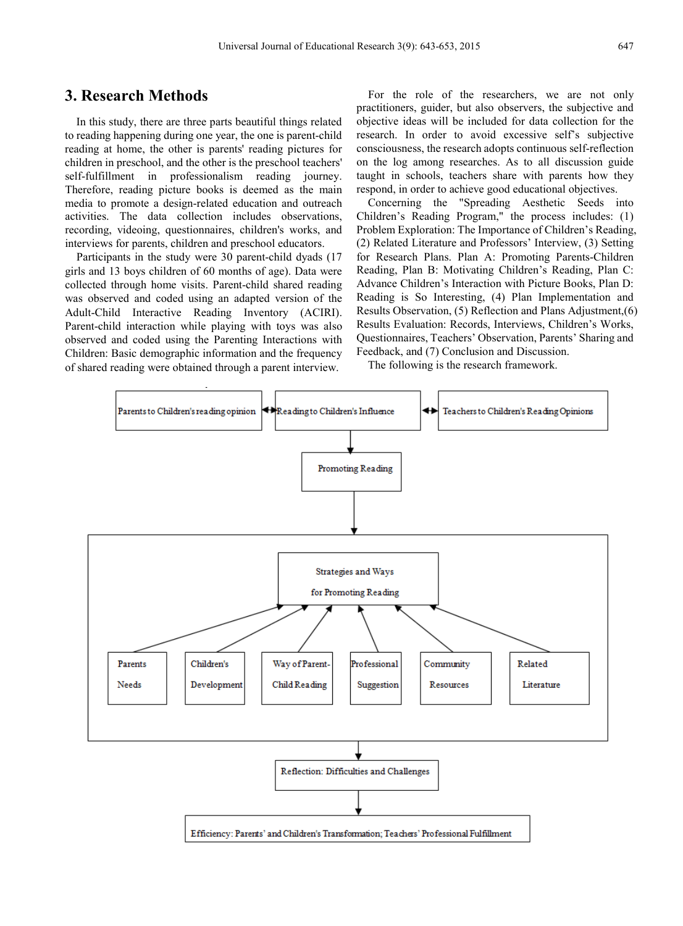# **3. Research Methods**

In this study, there are three parts beautiful things related to reading happening during one year, the one is parent-child reading at home, the other is parents' reading pictures for children in preschool, and the other is the preschool teachers' self-fulfillment in professionalism reading journey. Therefore, reading picture books is deemed as the main media to promote a design-related education and outreach activities. The data collection includes observations, recording, videoing, questionnaires, children's works, and interviews for parents, children and preschool educators.

Participants in the study were 30 parent-child dyads (17 girls and 13 boys children of 60 months of age). Data were collected through home visits. Parent-child shared reading was observed and coded using an adapted version of the Adult-Child Interactive Reading Inventory (ACIRI). Parent-child interaction while playing with toys was also observed and coded using the Parenting Interactions with Children: Basic demographic information and the frequency of shared reading were obtained through a parent interview.

For the role of the researchers, we are not only practitioners, guider, but also observers, the subjective and objective ideas will be included for data collection for the research. In order to avoid excessive self's subjective consciousness, the research adopts continuous self-reflection on the log among researches. As to all discussion guide taught in schools, teachers share with parents how they respond, in order to achieve good educational objectives.

Concerning the "Spreading Aesthetic Seeds into Children's Reading Program," the process includes: (1) Problem Exploration: The Importance of Children's Reading, (2) Related Literature and Professors' Interview, (3) Setting for Research Plans. Plan A: Promoting Parents-Children Reading, Plan B: Motivating Children's Reading, Plan C: Advance Children's Interaction with Picture Books, Plan D: Reading is So Interesting, (4) Plan Implementation and Results Observation, (5) Reflection and Plans Adjustment,(6) Results Evaluation: Records, Interviews, Children's Works, Questionnaires, Teachers' Observation, Parents' Sharing and Feedback, and (7) Conclusion and Discussion.

The following is the research framework.

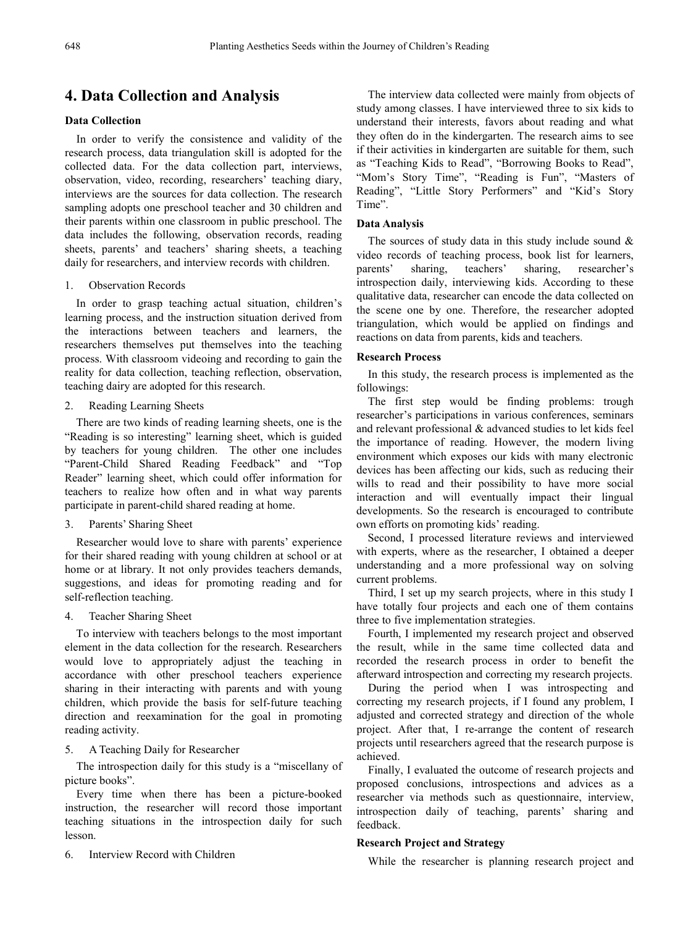# **4. Data Collection and Analysis**

## **Data Collection**

In order to verify the consistence and validity of the research process, data triangulation skill is adopted for the collected data. For the data collection part, interviews, observation, video, recording, researchers' teaching diary, interviews are the sources for data collection. The research sampling adopts one preschool teacher and 30 children and their parents within one classroom in public preschool. The data includes the following, observation records, reading sheets, parents' and teachers' sharing sheets, a teaching daily for researchers, and interview records with children.

## 1. Observation Records

In order to grasp teaching actual situation, children's learning process, and the instruction situation derived from the interactions between teachers and learners, the researchers themselves put themselves into the teaching process. With classroom videoing and recording to gain the reality for data collection, teaching reflection, observation, teaching dairy are adopted for this research.

#### 2. Reading Learning Sheets

There are two kinds of reading learning sheets, one is the "Reading is so interesting" learning sheet, which is guided by teachers for young children. The other one includes "Parent-Child Shared Reading Feedback" and "Top Reader" learning sheet, which could offer information for teachers to realize how often and in what way parents participate in parent-child shared reading at home.

## 3. Parents' Sharing Sheet

Researcher would love to share with parents' experience for their shared reading with young children at school or at home or at library. It not only provides teachers demands, suggestions, and ideas for promoting reading and for self-reflection teaching.

#### 4. Teacher Sharing Sheet

To interview with teachers belongs to the most important element in the data collection for the research. Researchers would love to appropriately adjust the teaching in accordance with other preschool teachers experience sharing in their interacting with parents and with young children, which provide the basis for self-future teaching direction and reexamination for the goal in promoting reading activity.

## 5. A Teaching Daily for Researcher

The introspection daily for this study is a "miscellany of picture books".

Every time when there has been a picture-booked instruction, the researcher will record those important teaching situations in the introspection daily for such lesson.

6. Interview Record with Children

The interview data collected were mainly from objects of study among classes. I have interviewed three to six kids to understand their interests, favors about reading and what they often do in the kindergarten. The research aims to see if their activities in kindergarten are suitable for them, such as "Teaching Kids to Read", "Borrowing Books to Read", "Mom's Story Time", "Reading is Fun", "Masters of Reading", "Little Story Performers" and "Kid's Story Time".

## **Data Analysis**

The sources of study data in this study include sound  $\&$ video records of teaching process, book list for learners, parents' sharing, teachers' sharing, researcher's introspection daily, interviewing kids. According to these qualitative data, researcher can encode the data collected on the scene one by one. Therefore, the researcher adopted triangulation, which would be applied on findings and reactions on data from parents, kids and teachers.

#### **Research Process**

In this study, the research process is implemented as the followings:

The first step would be finding problems: trough researcher's participations in various conferences, seminars and relevant professional & advanced studies to let kids feel the importance of reading. However, the modern living environment which exposes our kids with many electronic devices has been affecting our kids, such as reducing their wills to read and their possibility to have more social interaction and will eventually impact their lingual developments. So the research is encouraged to contribute own efforts on promoting kids' reading.

Second, I processed literature reviews and interviewed with experts, where as the researcher, I obtained a deeper understanding and a more professional way on solving current problems.

Third, I set up my search projects, where in this study I have totally four projects and each one of them contains three to five implementation strategies.

Fourth, I implemented my research project and observed the result, while in the same time collected data and recorded the research process in order to benefit the afterward introspection and correcting my research projects.

During the period when I was introspecting and correcting my research projects, if I found any problem, I adjusted and corrected strategy and direction of the whole project. After that, I re-arrange the content of research projects until researchers agreed that the research purpose is achieved.

Finally, I evaluated the outcome of research projects and proposed conclusions, introspections and advices as a researcher via methods such as questionnaire, interview, introspection daily of teaching, parents' sharing and feedback.

## **Research Project and Strategy**

While the researcher is planning research project and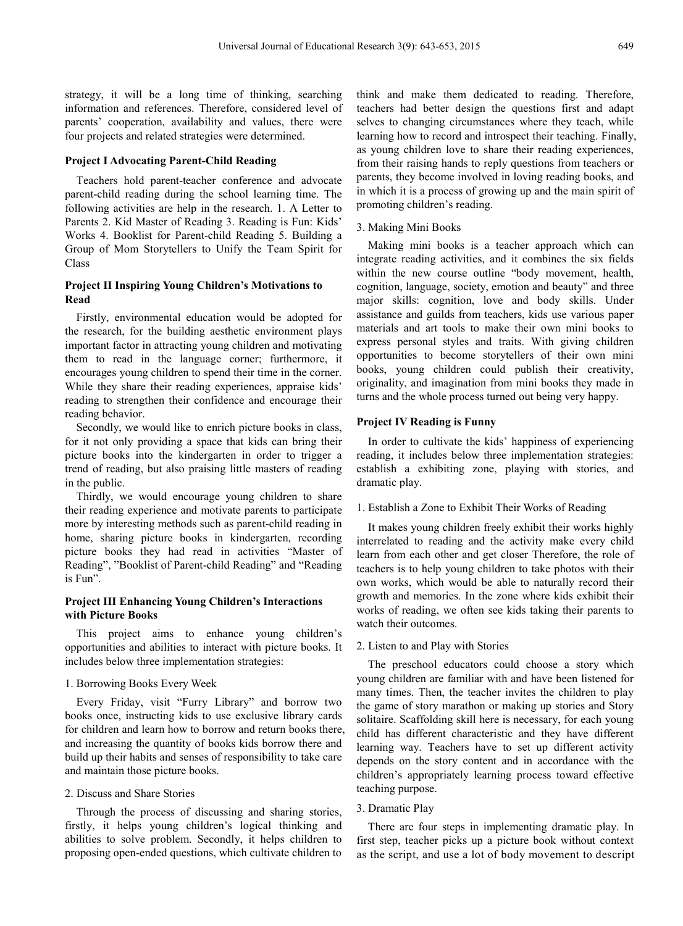strategy, it will be a long time of thinking, searching information and references. Therefore, considered level of parents' cooperation, availability and values, there were four projects and related strategies were determined.

## **Project I Advocating Parent-Child Reading**

Teachers hold parent-teacher conference and advocate parent-child reading during the school learning time. The following activities are help in the research. 1. A Letter to Parents 2. Kid Master of Reading 3. Reading is Fun: Kids' Works 4. Booklist for Parent-child Reading 5. Building a Group of Mom Storytellers to Unify the Team Spirit for Class

## **Project II Inspiring Young Children's Motivations to Read**

Firstly, environmental education would be adopted for the research, for the building aesthetic environment plays important factor in attracting young children and motivating them to read in the language corner; furthermore, it encourages young children to spend their time in the corner. While they share their reading experiences, appraise kids' reading to strengthen their confidence and encourage their reading behavior.

Secondly, we would like to enrich picture books in class, for it not only providing a space that kids can bring their picture books into the kindergarten in order to trigger a trend of reading, but also praising little masters of reading in the public.

Thirdly, we would encourage young children to share their reading experience and motivate parents to participate more by interesting methods such as parent-child reading in home, sharing picture books in kindergarten, recording picture books they had read in activities "Master of Reading", "Booklist of Parent-child Reading" and "Reading is Fun".

## **Project III Enhancing Young Children's Interactions with Picture Books**

This project aims to enhance young children's opportunities and abilities to interact with picture books. It includes below three implementation strategies:

## 1. Borrowing Books Every Week

Every Friday, visit "Furry Library" and borrow two books once, instructing kids to use exclusive library cards for children and learn how to borrow and return books there, and increasing the quantity of books kids borrow there and build up their habits and senses of responsibility to take care and maintain those picture books.

## 2. Discuss and Share Stories

Through the process of discussing and sharing stories, firstly, it helps young children's logical thinking and abilities to solve problem. Secondly, it helps children to proposing open-ended questions, which cultivate children to

think and make them dedicated to reading. Therefore, teachers had better design the questions first and adapt selves to changing circumstances where they teach, while learning how to record and introspect their teaching. Finally, as young children love to share their reading experiences, from their raising hands to reply questions from teachers or parents, they become involved in loving reading books, and in which it is a process of growing up and the main spirit of promoting children's reading.

#### 3. Making Mini Books

Making mini books is a teacher approach which can integrate reading activities, and it combines the six fields within the new course outline "body movement, health, cognition, language, society, emotion and beauty" and three major skills: cognition, love and body skills. Under assistance and guilds from teachers, kids use various paper materials and art tools to make their own mini books to express personal styles and traits. With giving children opportunities to become storytellers of their own mini books, young children could publish their creativity, originality, and imagination from mini books they made in turns and the whole process turned out being very happy.

## **Project IV Reading is Funny**

In order to cultivate the kids' happiness of experiencing reading, it includes below three implementation strategies: establish a exhibiting zone, playing with stories, and dramatic play.

#### 1. Establish a Zone to Exhibit Their Works of Reading

It makes young children freely exhibit their works highly interrelated to reading and the activity make every child learn from each other and get closer Therefore, the role of teachers is to help young children to take photos with their own works, which would be able to naturally record their growth and memories. In the zone where kids exhibit their works of reading, we often see kids taking their parents to watch their outcomes.

#### 2. Listen to and Play with Stories

The preschool educators could choose a story which young children are familiar with and have been listened for many times. Then, the teacher invites the children to play the game of story marathon or making up stories and Story solitaire. Scaffolding skill here is necessary, for each young child has different characteristic and they have different learning way. Teachers have to set up different activity depends on the story content and in accordance with the children's appropriately learning process toward effective teaching purpose.

## 3. Dramatic Play

There are four steps in implementing dramatic play. In first step, teacher picks up a picture book without context as the script, and use a lot of body movement to descript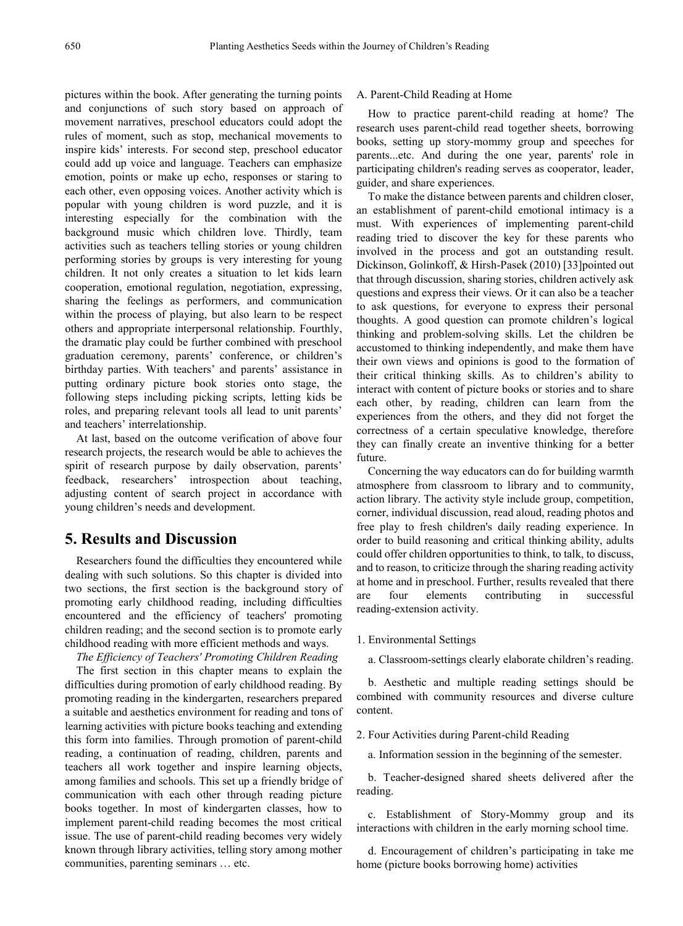pictures within the book. After generating the turning points and conjunctions of such story based on approach of movement narratives, preschool educators could adopt the rules of moment, such as stop, mechanical movements to inspire kids' interests. For second step, preschool educator could add up voice and language. Teachers can emphasize emotion, points or make up echo, responses or staring to each other, even opposing voices. Another activity which is popular with young children is word puzzle, and it is interesting especially for the combination with the background music which children love. Thirdly, team activities such as teachers telling stories or young children performing stories by groups is very interesting for young children. It not only creates a situation to let kids learn cooperation, emotional regulation, negotiation, expressing, sharing the feelings as performers, and communication within the process of playing, but also learn to be respect others and appropriate interpersonal relationship. Fourthly, the dramatic play could be further combined with preschool graduation ceremony, parents' conference, or children's birthday parties. With teachers' and parents' assistance in putting ordinary picture book stories onto stage, the following steps including picking scripts, letting kids be roles, and preparing relevant tools all lead to unit parents' and teachers' interrelationship.

At last, based on the outcome verification of above four research projects, the research would be able to achieves the spirit of research purpose by daily observation, parents' feedback, researchers' introspection about teaching, adjusting content of search project in accordance with young children's needs and development.

# **5. Results and Discussion**

Researchers found the difficulties they encountered while dealing with such solutions. So this chapter is divided into two sections, the first section is the background story of promoting early childhood reading, including difficulties encountered and the efficiency of teachers' promoting children reading; and the second section is to promote early childhood reading with more efficient methods and ways.

*The Efficiency of Teachers' Promoting Children Reading*

The first section in this chapter means to explain the difficulties during promotion of early childhood reading. By promoting reading in the kindergarten, researchers prepared a suitable and aesthetics environment for reading and tons of learning activities with picture books teaching and extending this form into families. Through promotion of parent-child reading, a continuation of reading, children, parents and teachers all work together and inspire learning objects, among families and schools. This set up a friendly bridge of communication with each other through reading picture books together. In most of kindergarten classes, how to implement parent-child reading becomes the most critical issue. The use of parent-child reading becomes very widely known through library activities, telling story among mother communities, parenting seminars … etc.

#### A. Parent-Child Reading at Home

How to practice parent-child reading at home? The research uses parent-child read together sheets, borrowing books, setting up story-mommy group and speeches for parents...etc. And during the one year, parents' role in participating children's reading serves as cooperator, leader, guider, and share experiences.

To make the distance between parents and children closer, an establishment of parent-child emotional intimacy is a must. With experiences of implementing parent-child reading tried to discover the key for these parents who involved in the process and got an outstanding result. Dickinson, Golinkoff, & Hirsh-Pasek (2010) [33]pointed out that through discussion, sharing stories, children actively ask questions and express their views. Or it can also be a teacher to ask questions, for everyone to express their personal thoughts. A good question can promote children's logical thinking and problem-solving skills. Let the children be accustomed to thinking independently, and make them have their own views and opinions is good to the formation of their critical thinking skills. As to children's ability to interact with content of picture books or stories and to share each other, by reading, children can learn from the experiences from the others, and they did not forget the correctness of a certain speculative knowledge, therefore they can finally create an inventive thinking for a better future.

Concerning the way educators can do for building warmth atmosphere from classroom to library and to community, action library. The activity style include group, competition, corner, individual discussion, read aloud, reading photos and free play to fresh children's daily reading experience. In order to build reasoning and critical thinking ability, adults could offer children opportunities to think, to talk, to discuss, and to reason, to criticize through the sharing reading activity at home and in preschool. Further, results revealed that there are four elements contributing in successful reading-extension activity.

1. Environmental Settings

a. Classroom-settings clearly elaborate children's reading.

b. Aesthetic and multiple reading settings should be combined with community resources and diverse culture content.

2. Four Activities during Parent-child Reading

a. Information session in the beginning of the semester.

b. Teacher-designed shared sheets delivered after the reading.

c. Establishment of Story-Mommy group and its interactions with children in the early morning school time.

d. Encouragement of children's participating in take me home (picture books borrowing home) activities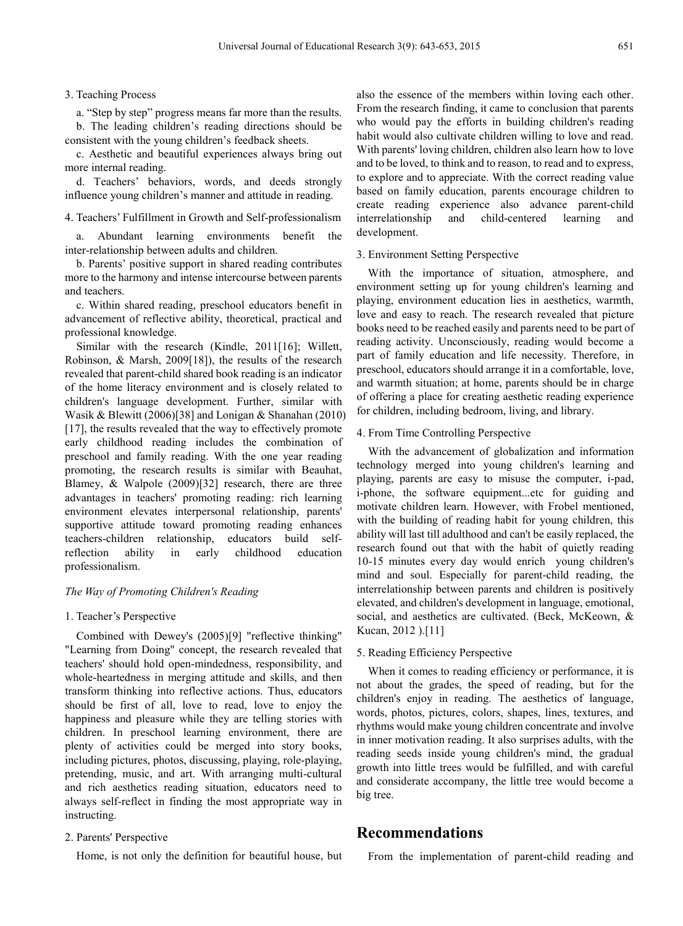## 3. Teaching Process

a. "Step by step" progress means far more than the results. b. The leading children's reading directions should be consistent with the young children's feedback sheets.

c. Aesthetic and beautiful experiences always bring out more internal reading.

d. Teachers' behaviors, words, and deeds strongly influence young children's manner and attitude in reading.

4. Teachers' Fulfillment in Growth and Self-professionalism

a. Abundant learning environments benefit the inter-relationship between adults and children.

b. Parents' positive support in shared reading contributes more to the harmony and intense intercourse between parents and teachers.

c. Within shared reading, preschool educators benefit in advancement of reflective ability, theoretical, practical and professional knowledge.

Similar with the research (Kindle, 2011[16]; Willett, Robinson, & Marsh, 2009[18]), the results of the research revealed that parent-child shared book reading is an indicator of the home literacy environment and is closely related to children's language development. Further, similar with Wasik & Blewitt (2006)[38] and Lonigan & Shanahan (2010) [17], the results revealed that the way to effectively promote early childhood reading includes the combination of preschool and family reading. With the one year reading promoting, the research results is similar with Beauhat, Blamey, & Walpole (2009)[32] research, there are three advantages in teachers' promoting reading: rich learning environment elevates interpersonal relationship, parents' supportive attitude toward promoting reading enhances teachers-children relationship, educators build selfreflection ability in early childhood education professionalism.

#### *The Way of Promoting Children's Reading*

#### 1. Teacher's Perspective

Combined with Dewey's (2005)[9] "reflective thinking" "Learning from Doing" concept, the research revealed that teachers' should hold open-mindedness, responsibility, and whole-heartedness in merging attitude and skills, and then transform thinking into reflective actions. Thus, educators should be first of all, love to read, love to enjoy the happiness and pleasure while they are telling stories with children. In preschool learning environment, there are plenty of activities could be merged into story books, including pictures, photos, discussing, playing, role-playing, pretending, music, and art. With arranging multi-cultural and rich aesthetics reading situation, educators need to always self-reflect in finding the most appropriate way in instructing.

## 2. Parents' Perspective

Home, is not only the definition for beautiful house, but

also the essence of the members within loving each other. From the research finding, it came to conclusion that parents who would pay the efforts in building children's reading habit would also cultivate children willing to love and read. With parents' loving children, children also learn how to love and to be loved, to think and to reason, to read and to express, to explore and to appreciate. With the correct reading value based on family education, parents encourage children to create reading experience also advance parent-child interrelationship and child-centered learning and development.

## 3. Environment Setting Perspective

With the importance of situation, atmosphere, and environment setting up for young children's learning and playing, environment education lies in aesthetics, warmth, love and easy to reach. The research revealed that picture books need to be reached easily and parents need to be part of reading activity. Unconsciously, reading would become a part of family education and life necessity. Therefore, in preschool, educators should arrange it in a comfortable, love, and warmth situation; at home, parents should be in charge of offering a place for creating aesthetic reading experience for children, including bedroom, living, and library.

## 4. From Time Controlling Perspective

With the advancement of globalization and information technology merged into young children's learning and playing, parents are easy to misuse the computer, i-pad, i-phone, the software equipment...etc for guiding and motivate children learn. However, with Frobel mentioned, with the building of reading habit for young children, this ability will last till adulthood and can't be easily replaced, the research found out that with the habit of quietly reading 10-15 minutes every day would enrich young children's mind and soul. Especially for parent-child reading, the interrelationship between parents and children is positively elevated, and children's development in language, emotional, social, and aesthetics are cultivated. (Beck, McKeown, & Kucan, 2012 ).[11]

## 5. Reading Efficiency Perspective

When it comes to reading efficiency or performance, it is not about the grades, the speed of reading, but for the children's enjoy in reading. The aesthetics of language, words, photos, pictures, colors, shapes, lines, textures, and rhythms would make young children concentrate and involve in inner motivation reading. It also surprises adults, with the reading seeds inside young children's mind, the gradual growth into little trees would be fulfilled, and with careful and considerate accompany, the little tree would become a big tree.

## **Recommendations**

From the implementation of parent-child reading and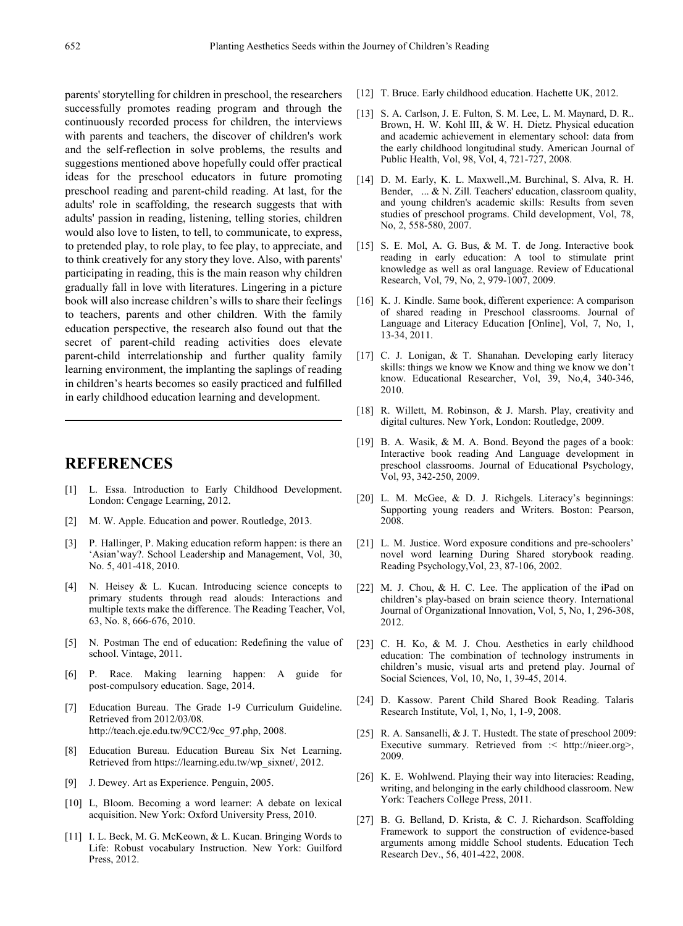parents' storytelling for children in preschool, the researchers successfully promotes reading program and through the continuously recorded process for children, the interviews with parents and teachers, the discover of children's work and the self-reflection in solve problems, the results and suggestions mentioned above hopefully could offer practical ideas for the preschool educators in future promoting preschool reading and parent-child reading. At last, for the adults' role in scaffolding, the research suggests that with adults' passion in reading, listening, telling stories, children would also love to listen, to tell, to communicate, to express, to pretended play, to role play, to fee play, to appreciate, and to think creatively for any story they love. Also, with parents' participating in reading, this is the main reason why children gradually fall in love with literatures. Lingering in a picture book will also increase children's wills to share their feelings to teachers, parents and other children. With the family education perspective, the research also found out that the secret of parent-child reading activities does elevate parent-child interrelationship and further quality family learning environment, the implanting the saplings of reading in children's hearts becomes so easily practiced and fulfilled in early childhood education learning and development.

# **REFERENCES**

- [1] L. Essa. Introduction to Early Childhood Development. London: Cengage Learning, 2012.
- [2] M. W. Apple. Education and power. Routledge, 2013.
- [3] P. Hallinger, P. Making education reform happen: is there an 'Asian'way?. School Leadership and Management, Vol, 30, No. 5, 401-418, 2010.
- [4] N. Heisey & L. Kucan. Introducing science concepts to primary students through read alouds: Interactions and multiple texts make the difference. The Reading Teacher, Vol, 63, No. 8, 666-676, 2010.
- [5] N. Postman The end of education: Redefining the value of school. Vintage, 2011.
- [6] P. Race. Making learning happen: A guide for post-compulsory education. Sage, 2014.
- [7] Education Bureau. The Grade 1-9 Curriculum Guideline. Retrieved from 2012/03/08. http://teach.eje.edu.tw/9CC2/9cc\_97.php, 2008.
- [8] Education Bureau. Education Bureau Six Net Learning. Retrieved from https://learning.edu.tw/wp\_sixnet/, 2012.
- [9] J. Dewey. Art as Experience. Penguin, 2005.
- [10] L, Bloom. Becoming a word learner: A debate on lexical acquisition. New York: Oxford University Press, 2010.
- [11] I. L. Beck, M. G. McKeown, & L. Kucan. Bringing Words to Life: Robust vocabulary Instruction. New York: Guilford Press, 2012.
- [12] T. Bruce. Early childhood education. Hachette UK, 2012.
- [13] S. A. Carlson, J. E. Fulton, S. M. Lee, L. M. Maynard, D. R.. Brown, H. W. Kohl III, & W. H. Dietz. Physical education and academic achievement in elementary school: data from the early childhood longitudinal study. American Journal of Public Health, Vol, 98, Vol, 4, 721-727, 2008.
- [14] D. M. Early, K. L. Maxwell.,M. Burchinal, S. Alva, R. H. Bender, ... & N. Zill. Teachers' education, classroom quality, and young children's academic skills: Results from seven studies of preschool programs. Child development, Vol, 78, No, 2, 558-580, 2007.
- [15] S. E. Mol, A. G. Bus, & M. T. de Jong. Interactive book reading in early education: A tool to stimulate print knowledge as well as oral language. Review of Educational Research, Vol, 79, No, 2, 979-1007, 2009.
- [16] K. J. Kindle. Same book, different experience: A comparison of shared reading in Preschool classrooms. Journal of Language and Literacy Education [Online], Vol, 7, No, 1, 13-34, 2011.
- [17] C. J. Lonigan, & T. Shanahan. Developing early literacy skills: things we know we Know and thing we know we don't know. Educational Researcher, Vol, 39, No,4, 340-346, 2010.
- [18] R. Willett, M. Robinson, & J. Marsh. Play, creativity and digital cultures. New York, London: Routledge, 2009.
- [19] B. A. Wasik, & M. A. Bond. Beyond the pages of a book: Interactive book reading And Language development in preschool classrooms. Journal of Educational Psychology, Vol, 93, 342-250, 2009.
- [20] L. M. McGee, & D. J. Richgels. Literacy's beginnings: Supporting young readers and Writers. Boston: Pearson, 2008.
- [21] L. M. Justice. Word exposure conditions and pre-schoolers' novel word learning During Shared storybook reading. Reading Psychology,Vol, 23, 87-106, 2002.
- [22] M. J. Chou, & H. C. Lee. The application of the iPad on children's play-based on brain science theory. International Journal of Organizational Innovation, Vol, 5, No, 1, 296-308, 2012.
- [23] C. H. Ko, & M. J. Chou. Aesthetics in early childhood education: The combination of technology instruments in children's music, visual arts and pretend play. Journal of Social Sciences, Vol, 10, No, 1, 39-45, 2014.
- [24] D. Kassow. Parent Child Shared Book Reading. Talaris Research Institute, Vol, 1, No, 1, 1-9, 2008.
- [25] R. A. Sansanelli, & J. T. Hustedt. The state of preschool 2009: Executive summary. Retrieved from :< http://nieer.org>, 2009.
- [26] K. E. Wohlwend. Playing their way into literacies: Reading, writing, and belonging in the early childhood classroom. New York: Teachers College Press, 2011.
- [27] B. G. Belland, D. Krista, & C. J. Richardson. Scaffolding Framework to support the construction of evidence-based arguments among middle School students. Education Tech Research Dev., 56, 401-422, 2008.